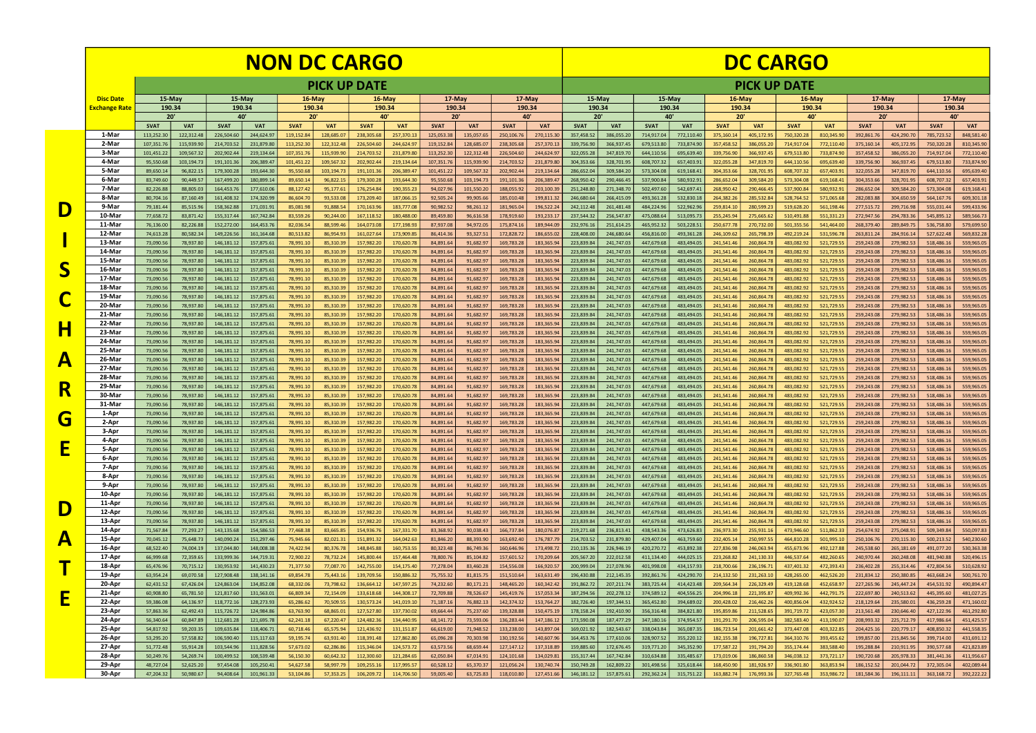|                                            |                  | <b>NON DC CARGO</b>      |                        |                              |                          |                         |                         |                          |                          |                         |                         |                          |                          | <b>DC CARGO</b>          |                          |                          |                          |                          |                          |                          |                          |                          |                          |                          |                          |
|--------------------------------------------|------------------|--------------------------|------------------------|------------------------------|--------------------------|-------------------------|-------------------------|--------------------------|--------------------------|-------------------------|-------------------------|--------------------------|--------------------------|--------------------------|--------------------------|--------------------------|--------------------------|--------------------------|--------------------------|--------------------------|--------------------------|--------------------------|--------------------------|--------------------------|--------------------------|
|                                            |                  | <b>PICK UP DATE</b>      |                        |                              |                          |                         |                         |                          |                          |                         |                         |                          |                          |                          |                          |                          |                          | <b>PICK UP DATE</b>      |                          |                          |                          |                          |                          |                          |                          |
|                                            | <b>Disc Date</b> | 15-May                   |                        | $15$ -May                    |                          | $16$ -May               |                         | $16$ May                 |                          | 17-May                  |                         | $17$ -May                |                          | $15$ -May                |                          | 15-May                   |                          | 16-May                   |                          | 16-May                   |                          | $17$ May                 |                          | $17$ May                 |                          |
|                                            | Exchange Rate    | 190.34<br>20'            |                        | 190.34<br>40'                |                          | 190.34<br>20'           |                         | 190.34<br>40'            |                          | 190.34<br>20'           |                         | 190.34<br>40'            |                          | 190.34<br>20'            |                          | 190.34<br>40'            |                          | 190.34<br>20'            |                          | 190.34<br>40             |                          | 190.34<br>20'            |                          | 190.34<br>40'            |                          |
|                                            |                  | <b>SVAT</b>              | <b>VAT</b>             | <b>SVAT</b>                  | <b>VAT</b>               | <b>SVAT</b>             | <b>VAT</b>              | <b>SVAT</b>              | <b>VAT</b>               | <b>SVAT</b>             | <b>VAT</b>              | <b>SVAT</b>              | <b>VAT</b>               | <b>SVAT</b>              | <b>VAT</b>               | <b>SVAT</b>              | <b>VAT</b>               | <b>SVAT</b>              | <b>VAT</b>               | <b>SVAT</b>              | <b>VAT</b>               | <b>SVAT</b>              | <b>VAT</b>               | <b>SVAT</b>              | <b>VAT</b>               |
|                                            | 1-Mar<br>2-Mar   | 113,252.30<br>107,351.76 | 122,312.4<br>115,939.9 | 226,504.60<br>214,703.52     | 244,624.97<br>231,879.80 | 119,152.84<br>113,252.3 | 128,685.0<br>122,312.48 | 238.305.68<br>226,504.60 | 257,370.13<br>244,624.97 | 125,053.38<br>119,152.8 | 135,057.6<br>128,685.0  | 250,106.76<br>238,305.68 | 270,115.3<br>257,370.1   | 357,458.52<br>339,756.90 | 386,055.20<br>366,937.4  | 714,917.04<br>679,513.80 | 772,110.40<br>733,874.90 | 375,160.1<br>357,458.5   | 405,172.9<br>386,055.2   | 750,320.28<br>714,917.0  | 810,345.90<br>772,110.40 | 392,861.76<br>375,160.1  | 424,290.70<br>405,172.95 | 785,723.52<br>750,320.28 | 848.581.40<br>810,345.90 |
|                                            | 3-Mar            | 101,451.22               | 109,567.3              | 202,902.44                   | 219,134.64               | 107,351.76              | 115,939.90              | 214,703.52               | 231,879.80               | 113,252.30              | 122,312.48              | 226,504.60               | 244,624.9                | 322,055.28               | 347,819.70               | 644,110.56               | 695,639.40               | 339,756.90               | 366,937.45               | 679,513.80               | 733,874.90               | 357,458.52               | 386,055.20               | 714,917.04               | 772,110.40               |
|                                            | 4-Mar<br>5 Mar   | 95,550.68                | 103,194.7              | 191,101.36                   | 206,389.47               | 101,451.22              | 109,567.32              | 202,902.44               | 219,134.64               | 107,351.76              | 115,939.90              | 214,703.52               | 231,879.8                | 304,353.66               | 328,701.95               | 608,707.32               | 657,403.91               | 322,055.28               | 347,819.7                | 644,110.56               | 695,639.40               | 339,756.90               | 366,937.45               | 679,513.80               | 733,874.90               |
|                                            | 6-Mar            | 89,650.14<br>83,749.60   | 96,822.1<br>90,449.5   | 179,300.28<br>167,499.20     | 193,644.30<br>180,899.14 | 95,550.68<br>89,650.14  | 103,194.73<br>96,822.15 | 191,101.36<br>179,300.28 | 206,389.47<br>193,644.30 | 101,451.22<br>95,550.68 | 109,567.32<br>103,194.7 | 202,902.44<br>191,101.36 | 219,134.6<br>206,389.4   | 286,652.04<br>268,950.42 | 309,584.20<br>290,466.45 | 573,304.08<br>537,900.84 | 619,168.41<br>580,932.91 | 304,353.66<br>286,652.0  | 328,701.95<br>309,584.20 | 608,707.32<br>573,304.08 | 657,403.91<br>619,168.41 | 322,055.28<br>304,353.66 | 347,819.70<br>328,701.95 | 644,110.56<br>608,707.32 | 695,639.40<br>657,403.91 |
|                                            | 7 Mar            | 82,226.88                | 88,805.0               | 164,453.76                   | 177,610.06               | 88,127.42               | 95,177.61               | 176,254.84               | 190,355.23               | 94,027.96               | 101,550.20              | 188,055.92               | 203,100.39               | 251,248.80               | 271,348.70               | 502,497.60               | 542,697.41               | 268,950.42               | 290,466.4                | 537,900.84               | 580,932.91               | 286,652.04               | 309,584.20               | 573,304.08               | 619,168.41               |
|                                            | 8-Mar<br>9-Mar   | 80,704.16<br>79,181.44   | 87,160.4<br>85,515.9   | 161,408.32<br>158,362.88     | 174,320.99<br>171,031.91 | 86,604.70<br>85,081.98  | 93,533.08<br>91,888.5   | 173,209.40<br>170,163.96 | 187,066.15<br>183,777.08 | 92,505.24<br>90,982.52  | 99,905.66<br>98,261.12  | 185,010.48<br>181,965.04 | 199,811.3<br>196,522.24  | 246,680.64<br>242,112.48 | 266,415.09<br>261,481.48 | 493,361.28<br>484,224.96 | 532,830.18<br>522,962.96 | 264,382.2<br>259,814.1   | 285,532.84<br>280,599.2  | 528,764.52<br>519,628.20 | 571,065.68<br>561,198.46 | 282,083.88<br>277,515.7  | 304,650.59<br>299,716.98 | 564,167.76<br>555,031.44 | 609,301.18<br>599,433.96 |
| D                                          | 10-Mar           | 77,658.72                | 83,871.4               | 155,317.4                    | 167,742.84               | 83,559.26               | 90,244.00               | 167,118.52               | 180,488.00               | 89,459.80               | 96,616.58               | 178,919.60               | 193,233.1                | 237,544.32               | 256,547.87               | 475,088.64               | 513,095.73               | 255,245.94               | 275,665.62               | 510,491.88               | 551,331.23               | 272,947.56               | 294,783.36               | 545,895.12               | 589,566.73               |
|                                            | 11-Mai           | 76,136.00                | 82,226.8               | 152,272.00                   | 164,453.76               | 82.036.54               | 88,599.46               | 164.073.08               | 177,198.93               | 87,937.08               | 94,972.05               | 175,874.16               | 189.944.09               | 232,976.16               | 251,614.25               | 465,952.32               | 503,228.51               | 250,677.7                | 270,732.00               | 501,355.56               | 541,464.00               | 268,379.40               | 289,849.75               | 536,758.80               | 579,699.50               |
|                                            | 12-Mar<br>13-Mai | 74,613.28<br>73,090.56   | 80,582.3<br>78,937.8   | 149,226.56<br>146,181.12     | 161,164.68<br>157,875.61 | 80,513.82<br>78,991.10  | 86,954.93<br>85,310.39  | 161,027.64<br>157,982.20 | 173,909.85<br>170,620.78 | 86,414.36<br>84,891.64  | 93,327.51<br>91,682.9   | 172,828.72<br>169,783.28 | 186.655.02<br>183,365.9  | 228,408.00<br>223,839.8  | 246,680.64<br>241,747.03 | 456,816.00<br>447,679.68 | 493,361.28<br>483,494.05 | 246,109.62<br>241,541.4  | 265,798.39<br>260,864.7  | 492,219.24<br>483.082.92 | 531,596.78<br>521,729.5  | 263,811.24<br>259,243.08 | 284,916.14<br>279,982.53 | 527,622.48<br>518,486.16 | 569,832.28<br>559,965.05 |
|                                            | 14-Mar           | 73,090.56                | 78,937.8               | 146,181.12                   | 157,875.61               | 78,991.10               | 85,310.39               | 157,982.20               | 170,620.78               | 84,891.64               | 91,682.97               | 169,783.28               | 183,365.9                | 223,839.8                | 241,747.03               | 447,679.68               | 483,494.05               | 241,541.46               | 260,864.7                | 483,082.92               | 521,729.55               | 259,243.08               | 279,982.53               | 518,486.16               | 559,965.05               |
|                                            | 15-Mar<br>16-Mar | 73,090.56                | 78,937.8               | 146,181.12                   | 157,875.61               | 78,991.10               | 85,310.39               | 157,982.20               | 170,620.78               | 84,891.64               | 91,682.97               | 169,783.28               | 183,365.9                | 223,839.8                | 241,747.03               | 447,679.68               | 483,494.05               | 241,541.46               | 260,864.78               | 483,082.92               | 521,729.55               | 259,243.08               | 279,982.53               | 518,486.16               | 559,965.05               |
|                                            | 17-Mar           | 73,090.56<br>73,090.56   | 78,937.8<br>78,937.8   | 146,181.12<br>146, 181. 12   | 157,875.61<br>157,875.61 | 78,991.10<br>78,991.10  | 85,310.39<br>85,310.39  | 157,982.20<br>157,982.20 | 170,620.78<br>170,620.78 | 84,891.64<br>84,891.64  | 91,682.9<br>91,682.9    | 169,783.28<br>169,783.28 | 183,365.9<br>183,365.9   | 223,839.8<br>223,839.8   | 241,747.03<br>241,747.03 | 447,679.68<br>447,679.68 | 483,494.05<br>483,494.05 | 241,541.4<br>241,541.4   | 260,864.7<br>260,864.7   | 483,082.9<br>483,082.92  | 521,729.5<br>521,729.5   | 259,243.0<br>259,243.08  | 279,982.53<br>279,982.53 | 518,486.16<br>518,486.16 | 559,965.05<br>559,965.05 |
|                                            | 18-Mar           | 73,090.56                | 78,937.8               | 146,181.12                   | 157,875.61               | 78,991.10               | 85,310.39               | 157,982.20               | 170,620.78               | 84,891.64               | 91,682.9                | 169,783.28               | 183,365.9                | 223,839.8                | 241,747.03               | 447,679.68               | 483,494.05               | 241,541.46               | 260,864.7                | 483.082.92               | 521,729.5                | 259,243.08               | 279,982.53               | 518,486.16               | 559,965.05               |
|                                            | 19-Mar<br>20-Mar | 73.090.56<br>73,090.56   | 78,937.8<br>78,937.8   | 146,181.12<br>146,181.12     | 157,875.61<br>157,875.61 | 78.991.10<br>78,991.10  | 85,310.39<br>85,310.39  | 157,982.20<br>157,982.20 | 170,620.78<br>170,620.78 | 84.891.64<br>84,891.64  | 91,682.97<br>91,682.9   | 169,783.28<br>169,783.28 | 183.365.94<br>183,365.9  | 223,839.8<br>223,839.8   | 241,747.03<br>241,747.03 | 447,679.68<br>447,679.68 | 483.494.05<br>483,494.05 | 241.541.46<br>241,541.4  | 260.864.78<br>260,864.78 | 483.082.92<br>483,082.92 | 521,729.55<br>521,729.5  | 259,243.08<br>259,243.08 | 279,982.53<br>279,982.53 | 518,486.16<br>518,486.16 | 559,965.05<br>559,965.05 |
|                                            | 21-Mar           | 73,090.56                | 78,937.8               | 146,181.12                   | 157,875.61               | 78,991.10               | 85,310.39               | 157,982.20               | 170,620.78               | 84,891.64               | 91,682.97               | 169,783.28               | 183,365.9                | 223,839.84               | 241,747.03               | 447,679.68               | 483,494.05               | 241,541.46               | 260,864.78               | 483,082.92               | 521,729.59               | 259,243.08               | 279,982.53               | 518,486.16               | 559,965.05               |
| H                                          | 22-Mai           | 73,090.56                | 78,937.8               | 146,181.12                   | 157,875.61               | 78,991.10               | 85,310.39               | 157,982.20               | 170,620.78               | 84,891.64               | 91,682.97               | 169,783.28               | 183,365.9                | 223,839.8                | 241,747.03               | 447,679.68               | 483,494.05               | 241,541.46               | 260,864.78               | 483,082.92               | 521,729.55               | 259,243.08               | 279,982.53               | 518,486.16               | 559,965.05               |
|                                            | 23-Mar<br>24-Mai | 73,090.56<br>73,090.56   | 78,937.8<br>78,937.8   | 146,181.12<br>146,181.12     | 157,875.61<br>157,875.61 | 78,991.10<br>78,991.10  | 85,310.39<br>85,310.39  | 157,982.20<br>157,982.20 | 170,620.78<br>170,620.78 | 84,891.64<br>84,891.64  | 91,682.97<br>91,682.97  | 169,783.28<br>169,783.28 | 183,365.9<br>183,365.9   | 223,839.8<br>223,839.8   | 241,747.03<br>241,747.03 | 447,679.68<br>447,679.68 | 483,494.05<br>483,494.05 | 241,541.46<br>241,541.46 | 260,864.7<br>260,864.7   | 483,082.92<br>483,082.92 | 521,729.5<br>521,729.55  | 259,243.08<br>259,243.08 | 279,982.53<br>279,982.53 | 518,486.16<br>518,486.16 | 559,965.05<br>559,965.05 |
|                                            | 25-Mar           | 73,090.56                | 78,937.8               | 146,181.12                   | 157,875.61               | 78,991.10               | 85,310.39               | 157,982.20               | 170,620.78               | 84,891.64               | 91,682.97               | 169,783.28               | 183,365.9                | 223,839.8                | 241,747.03               | 447,679.68               | 483,494.05               | 241,541.46               | 260,864.7                | 483,082.92               | 521,729.5                | 259,243.08               | 279,982.53               | 518,486.16               | 559,965.05               |
| Ą                                          | 26-Mar<br>27-Mar | 73,090.56<br>73.090.56   | 78,937.8<br>78,937.8   | 146, 181. 12<br>146,181.12   | 157,875.61<br>157,875.61 | 78,991.10<br>78,991.10  | 85,310.39<br>85,310.39  | 157,982.20<br>157,982.20 | 170,620.78<br>170,620.78 | 84,891.64<br>84,891.64  | 91,682.9<br>91,682.9    | 169,783.28<br>169,783.28 | 183,365.9<br>183,365.9   | 223,839.8<br>223,839.8   | 241,747.03<br>241,747.03 | 447,679.68<br>447,679.68 | 483,494.05<br>483,494.05 | 241,541.4<br>241,541.4   | 260,864.78<br>260,864.7  | 483,082.92<br>483.082.9  | 521,729.5<br>521,729.5   | 259,243.08<br>259,243.0  | 279,982.53<br>279,982.53 | 518,486.16<br>518,486.16 | 559,965.05<br>559,965.05 |
|                                            | 28-Mar           | 73,090.56                | 78,937.8               | 146, 181. 12                 | 157,875.61               | 78,991.10               | 85,310.39               | 157,982.20               | 170,620.78               | 84,891.64               | 91,682.97               | 169,783.28               | 183,365.9                | 223,839.8                | 241,747.03               | 447,679.68               | 483,494.05               | 241,541.4                | 260,864.78               | 483.082.92               | 521,729.55               | 259,243.08               | 279,982.53               | 518,486.16               | 559,965.05               |
| R                                          | 29-Mai           | 73,090.56                | 78,937.8               | 146,181.12                   | 157,875.61               | 78,991.10               | 85,310.39               | 157,982.20               | 170,620.78               | 84,891.64               | 91,682.97               | 169,783.28               | 183,365.9                | 223,839.8                | 241,747.03               | 447,679.68               | 483,494.05               | 241,541.46               | 260,864.78               | 483,082.92               | 521,729.55               | 259,243.08               | 279,982.53               | 518,486.16               | 559,965.05               |
|                                            | 30-Mar<br>31-Mai | 73,090.56<br>73,090.56   | 78,937.8<br>78,937.8   | 146,181.12<br>146,181.12     | 157,875.61<br>157,875.61 | 78,991.10<br>78,991.10  | 85,310.39<br>85,310.39  | 157,982.20<br>157,982.20 | 170,620.78<br>170,620.78 | 84,891.64<br>84,891.64  | 91,682.97<br>91,682.97  | 169,783.28<br>169,783.28 | 183,365.9<br>183,365.9   | 223,839.8<br>223,839.8   | 241,747.03<br>241,747.03 | 447,679.68<br>447,679.68 | 483,494.05<br>483,494.05 | 241,541.46<br>241,541.46 | 260,864.78<br>260,864.7  | 483.082.92<br>483,082.92 | 521,729.59<br>521,729.55 | 259,243.08<br>259,243.08 | 279,982.53<br>279,982.53 | 518,486.16<br>518,486.16 | 559,965.05<br>559,965.05 |
| G                                          | 1-Apr            | 73,090.56                | 78,937.8               | 146, 181. 12                 | 157,875.63               | 78,991.10               | 85,310.39               | 157,982.20               | 170,620.78               | 84,891.64               | 91,682.97               | 169,783.28               | 183,365.9                | 223,839.8                | 241,747.03               | 447,679.68               | 483,494.05               | 241,541.46               | 260,864.7                | 483,082.92               | 521,729.59               | 259,243.08               | 279,982.53               | 518,486.16               | 559,965.05               |
|                                            | 2-Apr<br>3-Apr   | 73,090.56<br>73.090.56   | 78,937.8               | 146,181.12                   | 157,875.61               | 78,991.10               | 85,310.39               | 157,982.20               | 170,620.78<br>170.620.78 | 84,891.64<br>84.891.64  | 91,682.97               | 169,783.28               | 183,365.9<br>183.365.94  | 223,839.8<br>223.839.84  | 241,747.03<br>241.747.03 | 447,679.68<br>447.679.68 | 483,494.05<br>483.494.05 | 241,541.46<br>241.541.46 | 260,864.78               | 483,082.92<br>483.082.92 | 521,729.55               | 259,243.08               | 279,982.53               | 518,486.16<br>518,486.16 | 559,965.05               |
|                                            | 4-Apr            | 73,090.56                | 78,937.80<br>78,937.80 | 146,181.12<br>146, 181. 12   | 157,875.61<br>157,875.61 | 78,991.10<br>78,991.10  | 85,310.39<br>85,310.39  | 157,982.20<br>157,982.20 | 170,620.78               | 84,891.64               | 91,682.9<br>91,682.97   | 169,783.28<br>169,783.28 | 183,365.94               | 223,839.84               | 241,747.03               | 447,679.68               | 483,494.05               | 241,541.46               | 260,864.78<br>260,864.78 | 483,082.92               | 521,729.55<br>521,729.55 | 259,243.08<br>259,243.08 | 279,982.53<br>279,982.53 | 518,486.16               | 559,965.05<br>559,965.05 |
| Ē                                          | 5 Apr            | 73,090.56                | 78,937.80              | 146, 181. 12                 | 157,875.61               | 78,991.10               | 85,310.39               | 157,982.20               | 170,620.78               | 84,891.64               | 91,682.97               | 169,783.28               | 183,365.94               | 223,839.84               | 241,747.03               | 447,679.68               | 483,494.05               | 241,541.46               | 260,864.78               | 483,082.92               | 521,729.55               | 259,243.08               | 279,982.53               | 518,486.16               | 559,965.05               |
|                                            | 6-Apr<br>7 Apr   | 73,090.56<br>73,090.56   | 78,937.80<br>78,937.80 | 146, 181. 12<br>146, 181. 12 | 157,875.61<br>157,875.61 | 78,991.10<br>78,991.10  | 85,310.39<br>85,310.39  | 157,982.20<br>157,982.20 | 170,620.78<br>170,620.78 | 84,891.64<br>84,891.64  | 91,682.97<br>91,682.97  | 169,783.28<br>169,783.28 | 183,365.94<br>183,365.94 | 223,839.84<br>223,839.84 | 241,747.03<br>241,747.03 | 447,679.68<br>447,679.68 | 483,494.05<br>483,494.05 | 241,541.46<br>241,541.46 | 260,864.78<br>260,864.78 | 483,082.92<br>483,082.92 | 521,729.55<br>521,729.55 | 259,243.08<br>259,243.08 | 279,982.53<br>279,982.53 | 518,486.16<br>518,486.16 | 559,965.05<br>559,965.05 |
|                                            | 8-Apr            | 73,090.56                | 78,937.80              | 146, 181. 12                 | 157,875.61               | 78,991.10               | 85,310.39               | 157,982.20               | 170,620.78               | 84,891.64               | 91,682.97               | 169,783.28               | 183,365.94               | 223,839.84               | 241,747.03               | 447,679.68               | 483,494.05               | 241,541.46               | 260,864.78               | 483,082.92               | 521,729.55               | 259,243.08               | 279,982.53               | 518,486.16               | 559,965.05               |
|                                            | 9-Apr            | 73,090.56                | 78,937.80              | 146, 181. 12                 | 157,875.61               | 78,991.10               | 85,310.39               | 157,982.20               | 170,620.78               | 84,891.64               | 91,682.97               | 169,783.28               | 183,365.94               | 223,839.84               | 241,747.03               | 447,679.68               | 483,494.05               | 241,541.46               | 260,864.78               | 483,082.92               | 521,729.55               | 259,243.08               | 279,982.53               | 518,486.16               | 559,965.05               |
|                                            | 10 Apr<br>11-Apr | 73,090.56<br>73,090.56   | 78,937.80<br>78,937.80 | 146, 181. 12<br>146, 181. 12 | 157,875.61<br>157,875.61 | 78,991.10<br>78,991.10  | 85,310.39<br>85,310.39  | 157,982.20<br>157,982.20 | 170,620.78<br>170,620.78 | 84,891.64<br>84,891.64  | 91,682.97<br>91,682.97  | 169,783.28<br>169,783.28 | 183,365.94<br>183,365.94 | 223,839.84<br>223,839.84 | 241,747.03<br>241,747.03 | 447,679.68<br>447,679.68 | 483,494.05<br>483,494.05 | 241,541.46<br>241,541.46 | 260,864.78<br>260,864.78 | 483,082.92<br>483,082.92 | 521,729.55<br>521,729.55 | 259,243.08<br>259,243.08 | 279,982.53<br>279,982.53 | 518,486.16<br>518,486.16 | 559,965.05<br>559,965.05 |
| $\mathbf{D}% _{0}\left( \mathbf{1}\right)$ | 12-Apr           | 73,090.56                | 78,937.80              | 146, 181. 12                 | 157,875.61               | 78,991.10               | 85,310.39               | 157,982.20               | 170,620.78               | 84,891.64               | 91,682.97               | 169,783.28               | 183,365.94               | 223,839.84               | 241,747.03               | 447,679.68               | 483,494.05               | 241,541.46               | 260,864.78               | 483,082.92               | 521,729.55               | 259,243.08               | 279,982.53               | 518,486.16               | 559,965.05               |
|                                            | 13-Apr<br>14-Apr | 73,090.56<br>71,567.84   | 78,937.80<br>77,293.27 | 146, 181. 12<br>143,135.68   | 157,875.61<br>154,586.53 | 78,991.10<br>77,468.38  | 85,310.39<br>83,665.85  | 157,982.20<br>154,936.76 | 170,620.78<br>167,331.70 | 84,891.64<br>83,368.92  | 91,682.97<br>90,038.43  | 169,783.28<br>166,737.84 | 183,365.94<br>180,076.87 | 223,839.84<br>219,271.68 | 241,747.03<br>236,813.41 | 447,679.68<br>438,543.36 | 483,494.05<br>473,626.83 | 241,541.46<br>236,973.30 | 260,864.78<br>255,931.16 | 483,082.92<br>473,946.60 | 521,729.55<br>511,862.33 | 259,243.08<br>254,674.92 | 279,982.53<br>275,048.91 | 518,486.16<br>509,349.84 | 559,965.05<br>550,097.83 |
| A                                          | 15 Apr           | 70,045.12                | 75,648.73              | 140,090.24                   | 151,297.46               | 75,945.66               | 82,021.31               | 151,891.32               | 164,042.63               | 81,846.20               | 88,393.90               | 163,692.40               | 176,787.79               | 214,703.52               | 231,879.80               | 429,407.04               | 463,759.60               | 232,405.14               | 250,997.55               | 464,810.28               | 501,995.10               | 250,106.76               | 270,115.30               | 500,213.52               | 540,230.60               |
|                                            | 16-Apr           | 68,522.40                | 74,004.19              | 137,044.80                   | 148,008.38               | 74,422.94               | 80,376.78               | 148,845.88               | 160,753.55               | 80,323.48               | 86,749.36               | 160,646.96               | 173,498.72               | 210,135.36               | 226,946.19               | 420,270.72               | 453,892.38               | 227,836.98               | 246,063.94               | 455,673.96               | 492,127.88               | 245,538.60               | 265,181.69               | 491,077.20               | 530,363.38               |
|                                            | 17-Apr<br>18 Apr | 66,999.68<br>65,476.96   | 72,359.65<br>70,715.12 | 133,999.36<br>130,953.92     | 144,719.31<br>141,430.23 | 72,900.22<br>71,377.50  | 78,732.24<br>77,087.70  | 145,800.44<br>142,755.00 | 157,464.48<br>154,175.40 | 78,800.76<br>77,278.04  | 85,104.82<br>83,460.28  | 157,601.52<br>154,556.08 | 170,209.64<br>166,920.57 | 205,567.20<br>200,999.04 | 222,012.58<br>217,078.96 | 411,134.40<br>401,998.08 | 444,025.15<br>434,157.93 | 223,268.82<br>218,700.66 | 241,130.33<br>236,196.7  | 446,537.64<br>437,401.32 | 482,260.65<br>472,393.43 | 240,970.44<br>236,402.28 | 260,248.08<br>255,314.46 | 481,940.88<br>472,804.56 | 520,496.15<br>510,628.92 |
|                                            | 19-Apr           | 63,954.24                | 69,070.58              | 127,908.48                   | 138,141.16               | 69,854.78               | 75,443.16               | 139,709.56               | 150,886.32               | 75,755.32               | 81,815.75               | 151,510.64               | 163,631.49               | 196,430.88               | 212,145.35               | 392,861.76               | 424,290.70               | 214,132.50               | 231,263.10               | 428,265.00               | 462,526.20               | 231,834.12               | 250,380.85               | 463,668.24               | 500,761.70               |
|                                            | 20-Apr<br>21-Apr | 62,431.52<br>60,908.80   | 67,426.04<br>65,781.50 | 124,863.04<br>121,817.60     | 134,852.08<br>131,563.01 | 68,332.06<br>66,809.34  | 73,798.62<br>72,154.09  | 136,664.12<br>133,618.68 | 147,597.25<br>144,308.17 | 74,232.60<br>72,709.88  | 80,171.21<br>78,526.67  | 148,465.20<br>145,419.76 | 160,342.42<br>157,053.34 | 191,862.72<br>187,294.56 | 207,211.74<br>202,278.12 | 383,725.44<br>374,589.12 | 414,423.48<br>404,556.25 | 209,564.34<br>204,996.18 | 226,329.49<br>221,395.87 | 419,128.68<br>409,992.36 | 452,658.97<br>442,791.75 | 227,265.96<br>222,697.80 | 245,447.24<br>240,513.62 | 454,531.92<br>445,395.60 | 490,894.47<br>481,027.25 |
| E                                          | 22-Apr           | 59,386.08                | 64,136.97              | 118,772.16                   | 128,273.93               | 65,286.62               | 70,509.55               | 130,573.24               | 141,019.10               | 71,187.16               | 76,882.13               | 142,374.32               | 153,764.27               | 182,726.40               | 197,344.51               | 365,452.80               | 394,689.02               | 200,428.02               | 216,462.26               | 400,856.04               | 432,924.52               | 218,129.64               | 235,580.01               | 436,259.28               | 471,160.02               |
|                                            | 23-Apr           | 57,863.36                | 62,492.43              | 115,726.72                   | 124,984.86               | 63,763.90               | 68,865.01               | 127,527.80               | 137,730.02               | 69,664.44               | 75,237.60               | 139,328.88               | 150,475.19               | 178,158.24               | 192,410.90               | 356,316.48               | 384,821.80               | 195,859.86               | 211,528.65               | 391,719.72               | 423,057.30               | 213,561.48               | 230,646.40               | 427,122.96               | 461,292.80               |
|                                            | 24-Apr<br>25-Apr | 56,340.64<br>54,817.92   | 60,847.89<br>59,203.35 | 112,681.28<br>109,635.84     | 121,695.78<br>118,406.71 | 62,241.18<br>60,718.46  | 67,220.47<br>65,575.94  | 124,482.36<br>121,436.92 | 134,440.95<br>131,151.87 | 68,141.72<br>66,619.00  | 73,593.06<br>71,948.52  | 136,283.44<br>133,238.00 | 147,186.12<br>143,897.04 | 173,590.08<br>169,021.92 | 187,477.29<br>182,543.67 | 347,180.16<br>338,043.84 | 374,954.57<br>365,087.35 | 191,291.70<br>186,723.54 | 206,595.04<br>201,661.42 | 382,583.40<br>373,447.08 | 413,190.07<br>403,322.85 | 208,993.32<br>204,425.16 | 225,712.79<br>220,779.17 | 417,986.64<br>408,850.32 | 451,425.57<br>441,558.35 |
|                                            | 26-Apr           | 53,295.20                | 57,558.82              | 106,590.40                   | 115,117.63               | 59,195.74               | 63,931.40               | 118,391.48               | 127,862.80               | 65,096.28               | 70,303.98               | 130,192.56               | 140,607.96               | 164,453.76               | 177,610.06               | 328,907.52               | 355,220.12               | 182,155.38               | 196,727.81               | 364,310.76               | 393,455.62               | 199,857.00               | 215,845.56               | 399,714.00               | 431,691.12               |
|                                            | 27-Apr           | 51,772.48                | 55,914.28              | 103,544.96                   | 111,828.56               | 57,673.02               | 62,286.86               | 115,346.04               | 124,573.72               | 63,573.56               | 68,659.44               | 127,147.12               | 137,318.89               | 159,885.60               | 172,676.45               | 319,771.20               | 345,352.90               | 177,587.22               | 191,794.20               | 355,174.44               | 383,588.40               | 195,288.84               | 210,911.95               | 390,577.68               | 421,823.89               |
|                                            | 28-Apr<br>29-Apr | 50,249.76<br>48,727.04   | 54,269.74<br>52,625.20 | 100,499.52<br>97,454.08      | 108,539.48<br>105,250.41 | 56,150.30<br>54,627.58  | 60,642.32<br>58,997.79  | 112,300.60<br>109,255.16 | 121,284.65<br>117,995.57 | 62,050.84<br>60,528.12  | 67,014.91<br>65,370.37  | 124,101.68<br>121,056.24 | 134,029.81<br>130,740.74 | 155,317.44<br>150,749.28 | 167,742.84<br>162,809.22 | 310,634.88<br>301,498.56 | 335,485.67<br>325,618.44 | 173,019.06<br>168,450.90 | 186,860.58<br>181,926.97 | 346,038.12<br>336,901.80 | 373,721.17<br>363,853.94 | 190,720.68<br>186,152.52 | 205,978.33<br>201,044.72 | 381,441.36<br>372,305.04 | 411,956.67<br>402,089.44 |
|                                            | 30-Apr           | 47,204.32                | 50,980.67              | 94,408.64                    | 101,961.33               | 53,104.86               | 57,353.25               | 106,209.72               | 114,706.50               | 59,005.40               | 63,725.83               | 118,010.80               | 127,451.66               | 146,181.12               | 157,875.61               | 292,362.24               | 315,751.22               | 163,882.74               | 176,993.36               | 327,765.48               | 353,986.72               | 181,584.36               | 196,111.11               | 363,168.72               | 392,222.22               |